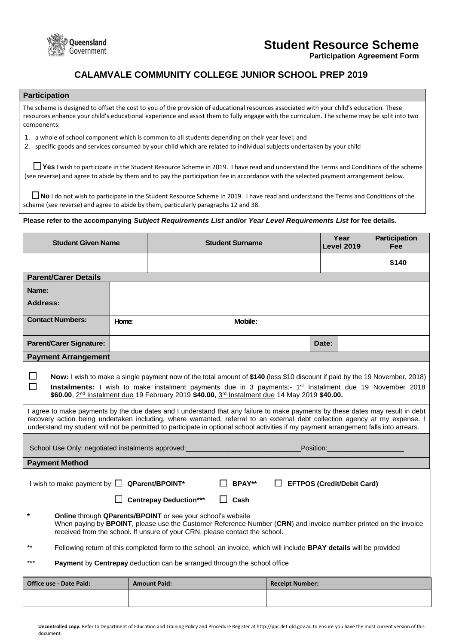

# **Student Resource Scheme**

**Participation Agreement Form**

# **CALAMVALE COMMUNITY COLLEGE JUNIOR SCHOOL PREP 2019**

## **Participation**

The scheme is designed to offset the cost to you of the provision of educational resources associated with your child's education. These resources enhance your child's educational experience and assist them to fully engage with the curriculum. The scheme may be split into two components:

- 1. a whole of school component which is common to all students depending on their year level; and
- 2. specific goods and services consumed by your child which are related to individual subjects undertaken by your child

**Yes** I wish to participate in the Student Resource Scheme in 2019. I have read and understand the Terms and Conditions of the scheme (see reverse) and agree to abide by them and to pay the participation fee in accordance with the selected payment arrangement below.

■ **No** I do not wish to participate in the Student Resource Scheme in 2019. I have read and understand the Terms and Conditions of the scheme (see reverse) and agree to abide by them, particularly paragraphs 12 and 38.

### **Please refer to the accompanying** *Subject Requirements List* **and/or** *Year Level Requirements List* **for fee details.**

| <b>Student Given Name</b>                                                                                                                                                                                                                                                                                                                                                                                                                                                                                                                                                                                                                                                                                                                                                 |                         | <b>Student Surname</b>     |                        | Year<br><b>Level 2019</b> | <b>Participation</b><br><b>Fee</b> |
|---------------------------------------------------------------------------------------------------------------------------------------------------------------------------------------------------------------------------------------------------------------------------------------------------------------------------------------------------------------------------------------------------------------------------------------------------------------------------------------------------------------------------------------------------------------------------------------------------------------------------------------------------------------------------------------------------------------------------------------------------------------------------|-------------------------|----------------------------|------------------------|---------------------------|------------------------------------|
|                                                                                                                                                                                                                                                                                                                                                                                                                                                                                                                                                                                                                                                                                                                                                                           |                         |                            |                        |                           | \$140                              |
| <b>Parent/Carer Details</b>                                                                                                                                                                                                                                                                                                                                                                                                                                                                                                                                                                                                                                                                                                                                               |                         |                            |                        |                           |                                    |
| Name:                                                                                                                                                                                                                                                                                                                                                                                                                                                                                                                                                                                                                                                                                                                                                                     |                         |                            |                        |                           |                                    |
| <b>Address:</b>                                                                                                                                                                                                                                                                                                                                                                                                                                                                                                                                                                                                                                                                                                                                                           |                         |                            |                        |                           |                                    |
| <b>Contact Numbers:</b>                                                                                                                                                                                                                                                                                                                                                                                                                                                                                                                                                                                                                                                                                                                                                   | <b>Mobile:</b><br>Home: |                            |                        |                           |                                    |
| <b>Parent/Carer Signature:</b>                                                                                                                                                                                                                                                                                                                                                                                                                                                                                                                                                                                                                                                                                                                                            |                         |                            |                        | Date:                     |                                    |
| <b>Payment Arrangement</b>                                                                                                                                                                                                                                                                                                                                                                                                                                                                                                                                                                                                                                                                                                                                                |                         |                            |                        |                           |                                    |
| ப<br>Now: I wish to make a single payment now of the total amount of \$140.(less \$10 discount if paid by the 19 November, 2018)<br>П<br>Instalments: I wish to make instalment payments due in 3 payments:- 1st Instalment due 19 November 2018<br>\$60.00, 2 <sup>nd</sup> Instalment due 19 February 2019 \$40.00, 3rd Instalment due 14 May 2019 \$40.00.<br>I agree to make payments by the due dates and I understand that any failure to make payments by these dates may result in debt<br>recovery action being undertaken including, where warranted, referral to an external debt collection agency at my expense. I<br>understand my student will not be permitted to participate in optional school activities if my payment arrangement falls into arrears. |                         |                            |                        |                           |                                    |
| School Use Only: negotiated instalments approved:                                                                                                                                                                                                                                                                                                                                                                                                                                                                                                                                                                                                                                                                                                                         |                         | <b>Position:</b> Position: |                        |                           |                                    |
| <b>Payment Method</b>                                                                                                                                                                                                                                                                                                                                                                                                                                                                                                                                                                                                                                                                                                                                                     |                         |                            |                        |                           |                                    |
| I wish to make payment by: $\Box$ QParent/BPOINT*<br>BPAY**<br>$\Box$ EFTPOS (Credit/Debit Card)<br><b>Centrepay Deduction***</b><br>$\Box$ Cash                                                                                                                                                                                                                                                                                                                                                                                                                                                                                                                                                                                                                          |                         |                            |                        |                           |                                    |
| $\star$<br>Online through QParents/BPOINT or see your school's website<br>When paying by BPOINT, please use the Customer Reference Number (CRN) and invoice number printed on the invoice<br>received from the school. If unsure of your CRN, please contact the school.                                                                                                                                                                                                                                                                                                                                                                                                                                                                                                  |                         |                            |                        |                           |                                    |
| $***$<br>Following return of this completed form to the school, an invoice, which will include BPAY details will be provided                                                                                                                                                                                                                                                                                                                                                                                                                                                                                                                                                                                                                                              |                         |                            |                        |                           |                                    |
| $***$<br>Payment by Centrepay deduction can be arranged through the school office                                                                                                                                                                                                                                                                                                                                                                                                                                                                                                                                                                                                                                                                                         |                         |                            |                        |                           |                                    |
| <b>Office use - Date Paid:</b>                                                                                                                                                                                                                                                                                                                                                                                                                                                                                                                                                                                                                                                                                                                                            |                         | <b>Amount Paid:</b>        | <b>Receipt Number:</b> |                           |                                    |
|                                                                                                                                                                                                                                                                                                                                                                                                                                                                                                                                                                                                                                                                                                                                                                           |                         |                            |                        |                           |                                    |